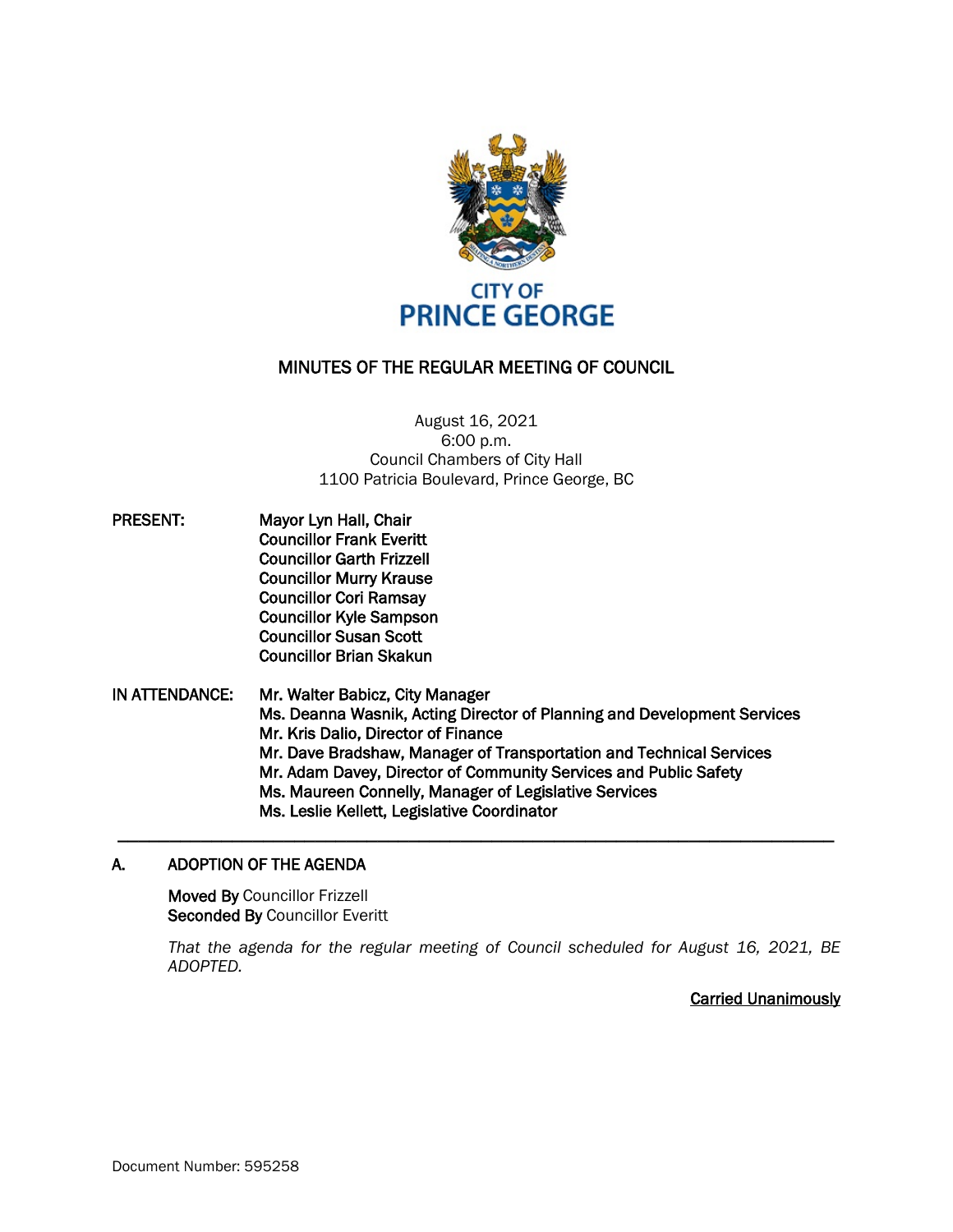

# MINUTES OF THE REGULAR MEETING OF COUNCIL

August 16, 2021 6:00 p.m. Council Chambers of City Hall 1100 Patricia Boulevard, Prince George, BC

PRESENT: Mayor Lyn Hall, Chair Councillor Frank Everitt Councillor Garth Frizzell Councillor Murry Krause Councillor Cori Ramsay Councillor Kyle Sampson Councillor Susan Scott Councillor Brian Skakun

IN ATTENDANCE: Mr. Walter Babicz, City Manager Ms. Deanna Wasnik, Acting Director of Planning and Development Services Mr. Kris Dalio, Director of Finance Mr. Dave Bradshaw, Manager of Transportation and Technical Services Mr. Adam Davey, Director of Community Services and Public Safety Ms. Maureen Connelly, Manager of Legislative Services Ms. Leslie Kellett, Legislative Coordinator

**\_\_\_\_\_\_\_\_\_\_\_\_\_\_\_\_\_\_\_\_\_\_\_\_\_\_\_\_\_\_\_\_\_\_\_\_\_\_\_\_\_\_\_\_\_\_\_\_\_\_\_\_\_\_\_\_\_\_\_\_\_\_\_\_\_\_\_\_\_**

# A. ADOPTION OF THE AGENDA

Moved By Councillor Frizzell Seconded By Councillor Everitt

*That the agenda for the regular meeting of Council scheduled for August 16, 2021, BE ADOPTED.*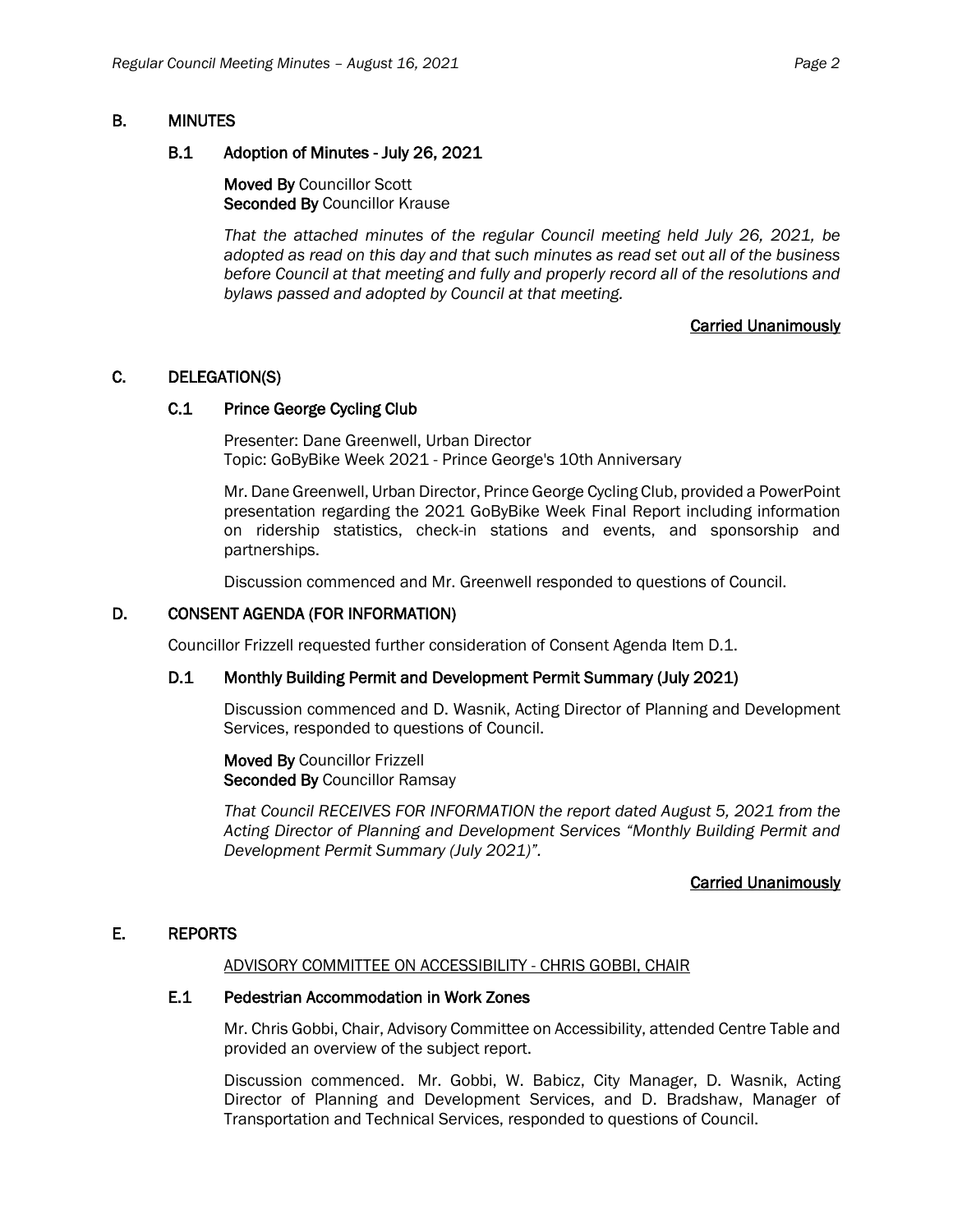# B. MINUTES

#### B.1 Adoption of Minutes - July 26, 2021

Moved By Councillor Scott Seconded By Councillor Krause

*That the attached minutes of the regular Council meeting held July 26, 2021, be adopted as read on this day and that such minutes as read set out all of the business before Council at that meeting and fully and properly record all of the resolutions and bylaws passed and adopted by Council at that meeting.*

# Carried Unanimously

# C. DELEGATION(S)

# C.1 Prince George Cycling Club

Presenter: Dane Greenwell, Urban Director Topic: GoByBike Week 2021 - Prince George's 10th Anniversary

Mr. Dane Greenwell, Urban Director, Prince George Cycling Club, provided a PowerPoint presentation regarding the 2021 GoByBike Week Final Report including information on ridership statistics, check-in stations and events, and sponsorship and partnerships.

Discussion commenced and Mr. Greenwell responded to questions of Council.

#### D. CONSENT AGENDA (FOR INFORMATION)

Councillor Frizzell requested further consideration of Consent Agenda Item D.1.

# D.1 Monthly Building Permit and Development Permit Summary (July 2021)

Discussion commenced and D. Wasnik, Acting Director of Planning and Development Services, responded to questions of Council.

Moved By Councillor Frizzell Seconded By Councillor Ramsay

*That Council RECEIVES FOR INFORMATION the report dated August 5, 2021 from the Acting Director of Planning and Development Services "Monthly Building Permit and Development Permit Summary (July 2021)".*

#### Carried Unanimously

# E. REPORTS

#### ADVISORY COMMITTEE ON ACCESSIBILITY - CHRIS GOBBI, CHAIR

# E.1 Pedestrian Accommodation in Work Zones

Mr. Chris Gobbi, Chair, Advisory Committee on Accessibility, attended Centre Table and provided an overview of the subject report.

Discussion commenced. Mr. Gobbi, W. Babicz, City Manager, D. Wasnik, Acting Director of Planning and Development Services, and D. Bradshaw, Manager of Transportation and Technical Services, responded to questions of Council.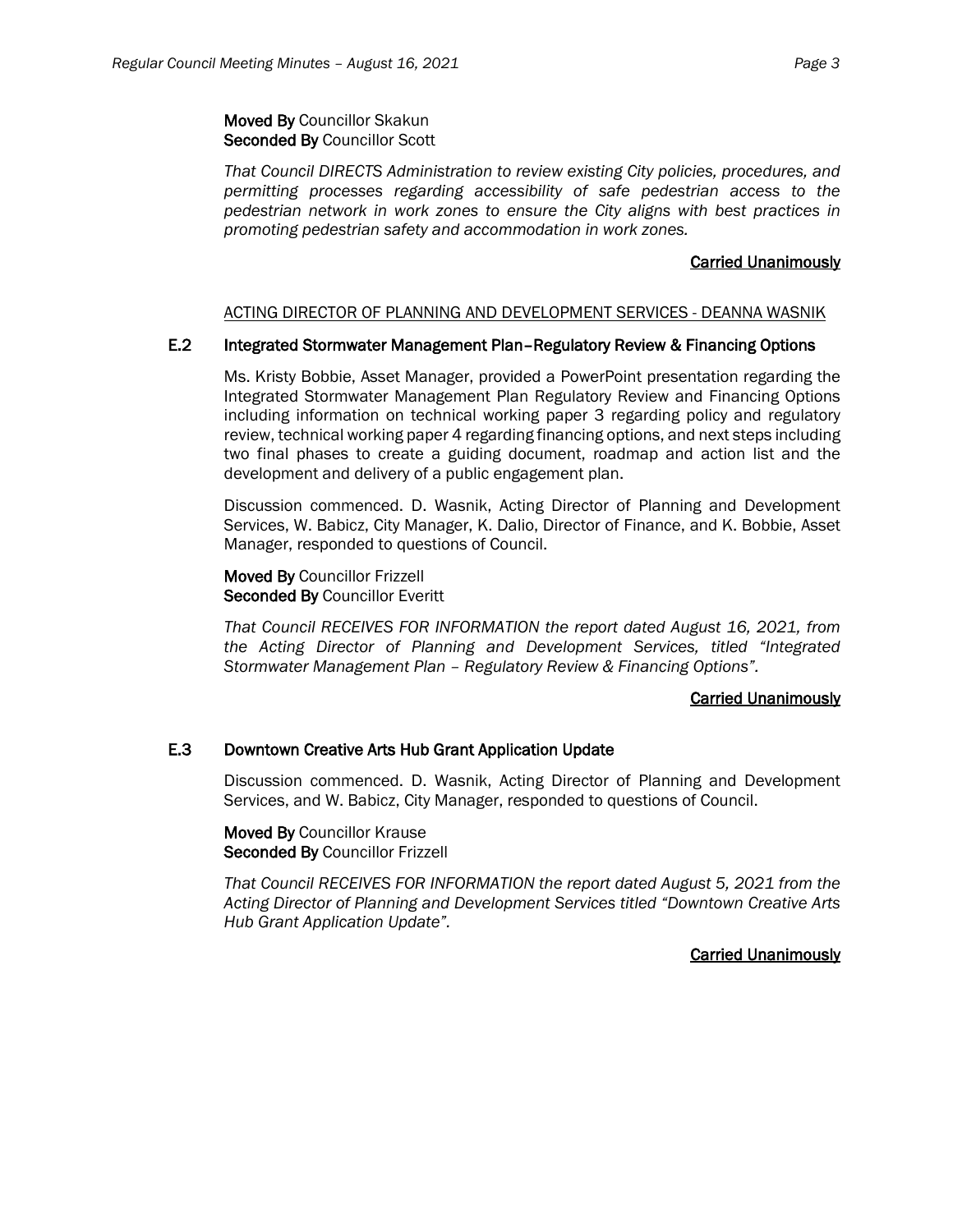Moved By Councillor Skakun Seconded By Councillor Scott

*That Council DIRECTS Administration to review existing City policies, procedures, and permitting processes regarding accessibility of safe pedestrian access to the pedestrian network in work zones to ensure the City aligns with best practices in promoting pedestrian safety and accommodation in work zones.*

#### Carried Unanimously

#### ACTING DIRECTOR OF PLANNING AND DEVELOPMENT SERVICES - DEANNA WASNIK

# E.2 Integrated Stormwater Management Plan–Regulatory Review & Financing Options

Ms. Kristy Bobbie, Asset Manager, provided a PowerPoint presentation regarding the Integrated Stormwater Management Plan Regulatory Review and Financing Options including information on technical working paper 3 regarding policy and regulatory review, technical working paper 4 regarding financing options, and next steps including two final phases to create a guiding document, roadmap and action list and the development and delivery of a public engagement plan.

Discussion commenced. D. Wasnik, Acting Director of Planning and Development Services, W. Babicz, City Manager, K. Dalio, Director of Finance, and K. Bobbie, Asset Manager, responded to questions of Council.

Moved By Councillor Frizzell Seconded By Councillor Everitt

*That Council RECEIVES FOR INFORMATION the report dated August 16, 2021, from the Acting Director of Planning and Development Services, titled "Integrated Stormwater Management Plan – Regulatory Review & Financing Options".*

#### Carried Unanimously

# E.3 Downtown Creative Arts Hub Grant Application Update

Discussion commenced. D. Wasnik, Acting Director of Planning and Development Services, and W. Babicz, City Manager, responded to questions of Council.

Moved By Councillor Krause Seconded By Councillor Frizzell

*That Council RECEIVES FOR INFORMATION the report dated August 5, 2021 from the Acting Director of Planning and Development Services titled "Downtown Creative Arts Hub Grant Application Update".*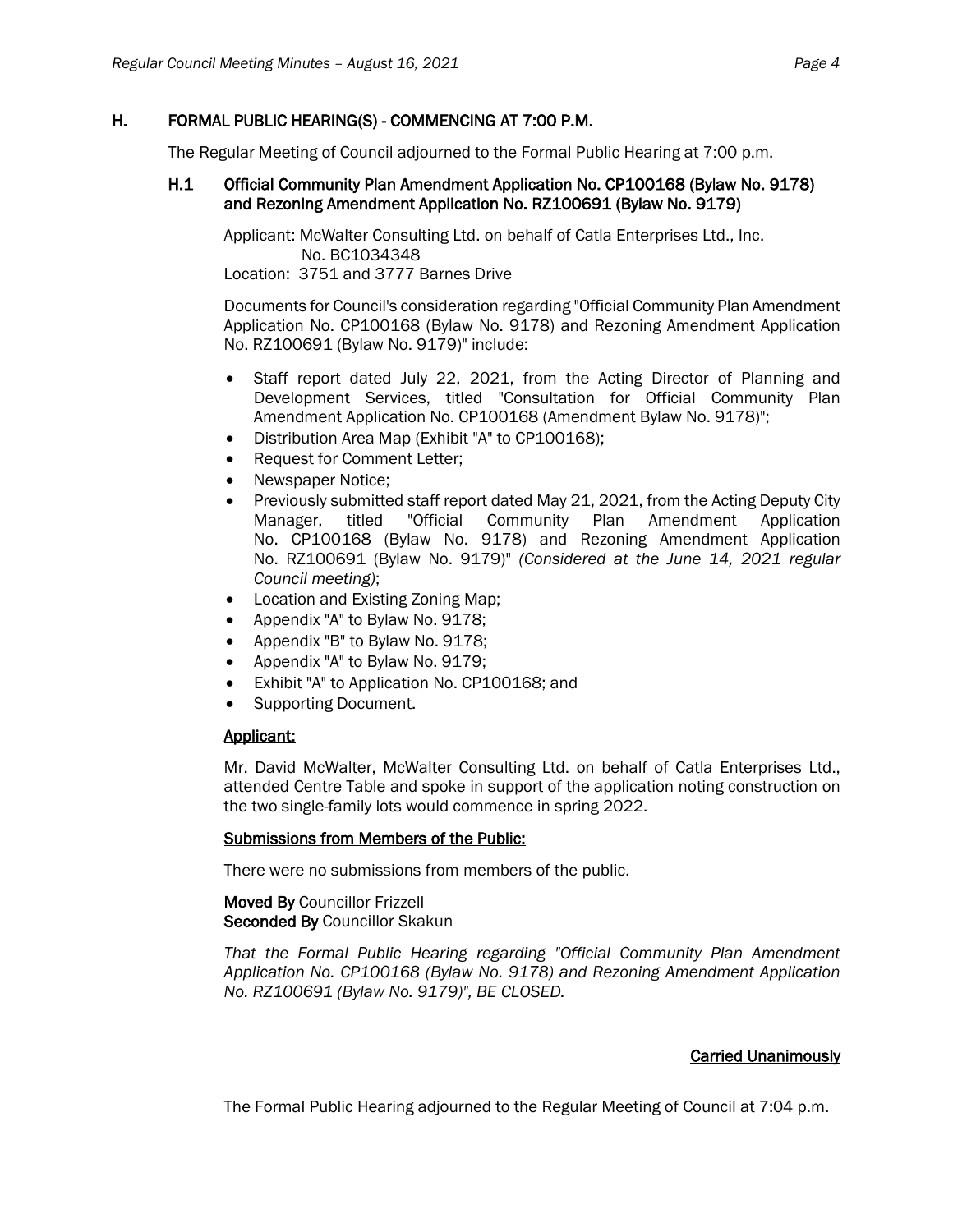# H. FORMAL PUBLIC HEARING(S) - COMMENCING AT 7:00 P.M.

The Regular Meeting of Council adjourned to the Formal Public Hearing at 7:00 p.m.

# H.1 Official Community Plan Amendment Application No. CP100168 (Bylaw No. 9178) and Rezoning Amendment Application No. RZ100691 (Bylaw No. 9179)

Applicant: McWalter Consulting Ltd. on behalf of Catla Enterprises Ltd., Inc. No. BC1034348

Location: 3751 and 3777 Barnes Drive

Documents for Council's consideration regarding "Official Community Plan Amendment Application No. CP100168 (Bylaw No. 9178) and Rezoning Amendment Application No. RZ100691 (Bylaw No. 9179)" include:

- Staff report dated July 22, 2021, from the Acting Director of Planning and Development Services, titled "Consultation for Official Community Plan Amendment Application No. CP100168 (Amendment Bylaw No. 9178)";
- Distribution Area Map (Exhibit "A" to CP100168);
- Request for Comment Letter;
- Newspaper Notice;
- Previously submitted staff report dated May 21, 2021, from the Acting Deputy City Manager, titled "Official Community Plan Amendment Application No. CP100168 (Bylaw No. 9178) and Rezoning Amendment Application No. RZ100691 (Bylaw No. 9179)" *(Considered at the June 14, 2021 regular Council meeting)*;
- Location and Existing Zoning Map;
- Appendix "A" to Bylaw No. 9178;
- Appendix "B" to Bylaw No. 9178;
- Appendix "A" to Bylaw No. 9179;
- Exhibit "A" to Application No. CP100168; and
- Supporting Document.

# Applicant:

Mr. David McWalter, McWalter Consulting Ltd. on behalf of Catla Enterprises Ltd., attended Centre Table and spoke in support of the application noting construction on the two single-family lots would commence in spring 2022.

# Submissions from Members of the Public:

There were no submissions from members of the public.

# Moved By Councillor Frizzell Seconded By Councillor Skakun

*That the Formal Public Hearing regarding "Official Community Plan Amendment Application No. CP100168 (Bylaw No. 9178) and Rezoning Amendment Application No. RZ100691 (Bylaw No. 9179)", BE CLOSED.*

# Carried Unanimously

The Formal Public Hearing adjourned to the Regular Meeting of Council at 7:04 p.m.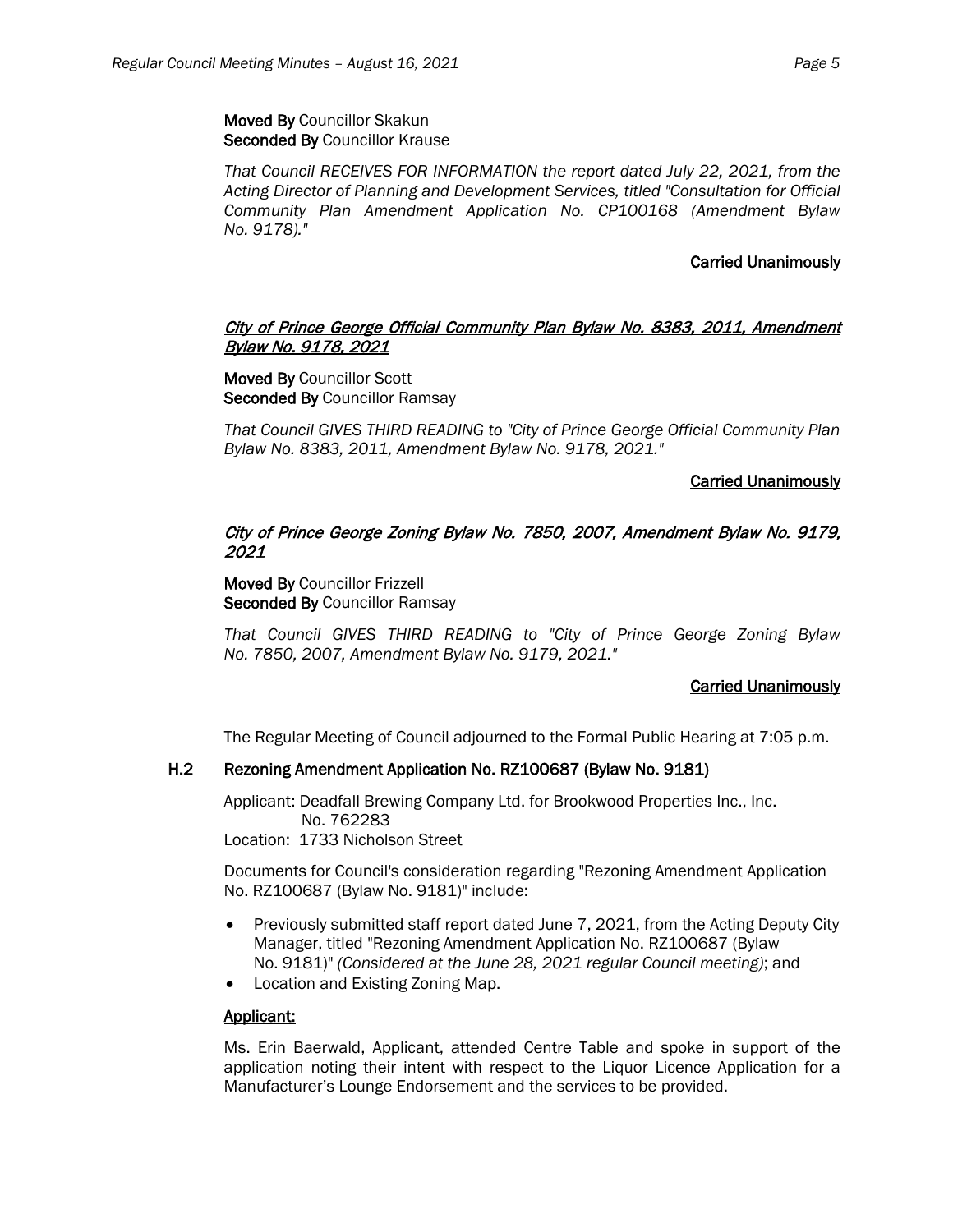Moved By Councillor Skakun Seconded By Councillor Krause

*That Council RECEIVES FOR INFORMATION the report dated July 22, 2021, from the Acting Director of Planning and Development Services, titled "Consultation for Official Community Plan Amendment Application No. CP100168 (Amendment Bylaw No. 9178)."*

# Carried Unanimously

# City of Prince George Official Community Plan Bylaw No. 8383, 2011, Amendment Bylaw No. 9178, 2021

Moved By Councillor Scott Seconded By Councillor Ramsay

*That Council GIVES THIRD READING to "City of Prince George Official Community Plan Bylaw No. 8383, 2011, Amendment Bylaw No. 9178, 2021."*

# Carried Unanimously

# City of Prince George Zoning Bylaw No. 7850, 2007, Amendment Bylaw No. 9179, 2021

Moved By Councillor Frizzell Seconded By Councillor Ramsay

*That Council GIVES THIRD READING to "City of Prince George Zoning Bylaw No. 7850, 2007, Amendment Bylaw No. 9179, 2021."*

# Carried Unanimously

The Regular Meeting of Council adjourned to the Formal Public Hearing at 7:05 p.m.

# H.2 Rezoning Amendment Application No. RZ100687 (Bylaw No. 9181)

Applicant: Deadfall Brewing Company Ltd. for Brookwood Properties Inc., Inc. No. 762283

Location: 1733 Nicholson Street

Documents for Council's consideration regarding "Rezoning Amendment Application No. RZ100687 (Bylaw No. 9181)" include:

- Previously submitted staff report dated June 7, 2021, from the Acting Deputy City Manager, titled "Rezoning Amendment Application No. RZ100687 (Bylaw No. 9181)" *(Considered at the June 28, 2021 regular Council meeting)*; and
- Location and Existing Zoning Map.

# Applicant:

Ms. Erin Baerwald, Applicant, attended Centre Table and spoke in support of the application noting their intent with respect to the Liquor Licence Application for a Manufacturer's Lounge Endorsement and the services to be provided.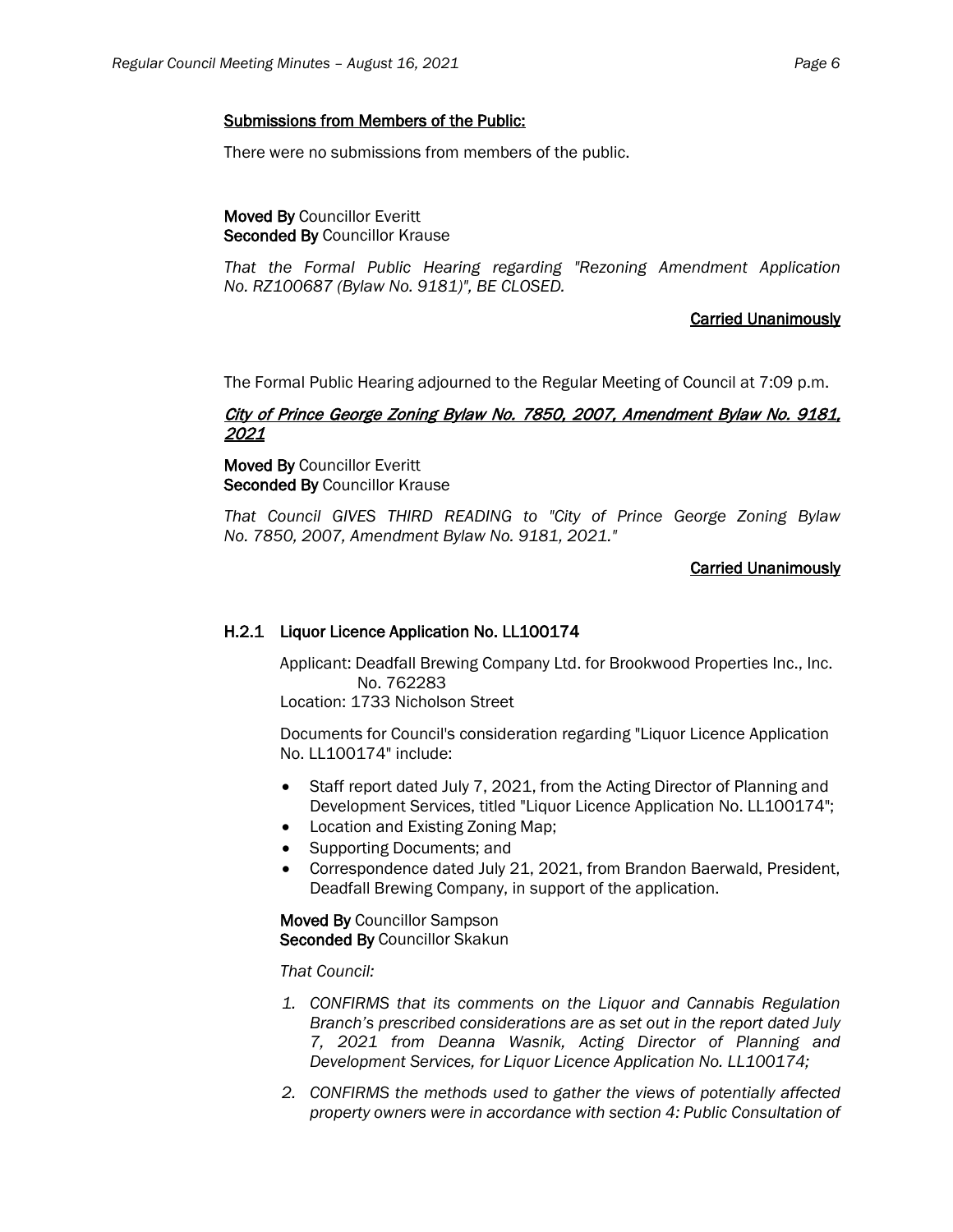There were no submissions from members of the public.

Moved By Councillor Everitt Seconded By Councillor Krause

*That the Formal Public Hearing regarding "Rezoning Amendment Application No. RZ100687 (Bylaw No. 9181)", BE CLOSED.*

# Carried Unanimously

The Formal Public Hearing adjourned to the Regular Meeting of Council at 7:09 p.m.

# City of Prince George Zoning Bylaw No. 7850, 2007, Amendment Bylaw No. 9181, 2021

Moved By Councillor Everitt Seconded By Councillor Krause

*That Council GIVES THIRD READING to "City of Prince George Zoning Bylaw No. 7850, 2007, Amendment Bylaw No. 9181, 2021."*

# Carried Unanimously

# H.2.1 Liquor Licence Application No. LL100174

Applicant: Deadfall Brewing Company Ltd. for Brookwood Properties Inc., Inc. No. 762283

Location: 1733 Nicholson Street

Documents for Council's consideration regarding "Liquor Licence Application No. LL100174" include:

- Staff report dated July 7, 2021, from the Acting Director of Planning and Development Services, titled "Liquor Licence Application No. LL100174";
- Location and Existing Zoning Map;
- Supporting Documents; and
- Correspondence dated July 21, 2021, from Brandon Baerwald, President, Deadfall Brewing Company, in support of the application.

Moved By Councillor Sampson Seconded By Councillor Skakun

# *That Council:*

- *1. CONFIRMS that its comments on the Liquor and Cannabis Regulation Branch's prescribed considerations are as set out in the report dated July 7, 2021 from Deanna Wasnik, Acting Director of Planning and Development Services, for Liquor Licence Application No. LL100174;*
- *2. CONFIRMS the methods used to gather the views of potentially affected property owners were in accordance with section 4: Public Consultation of*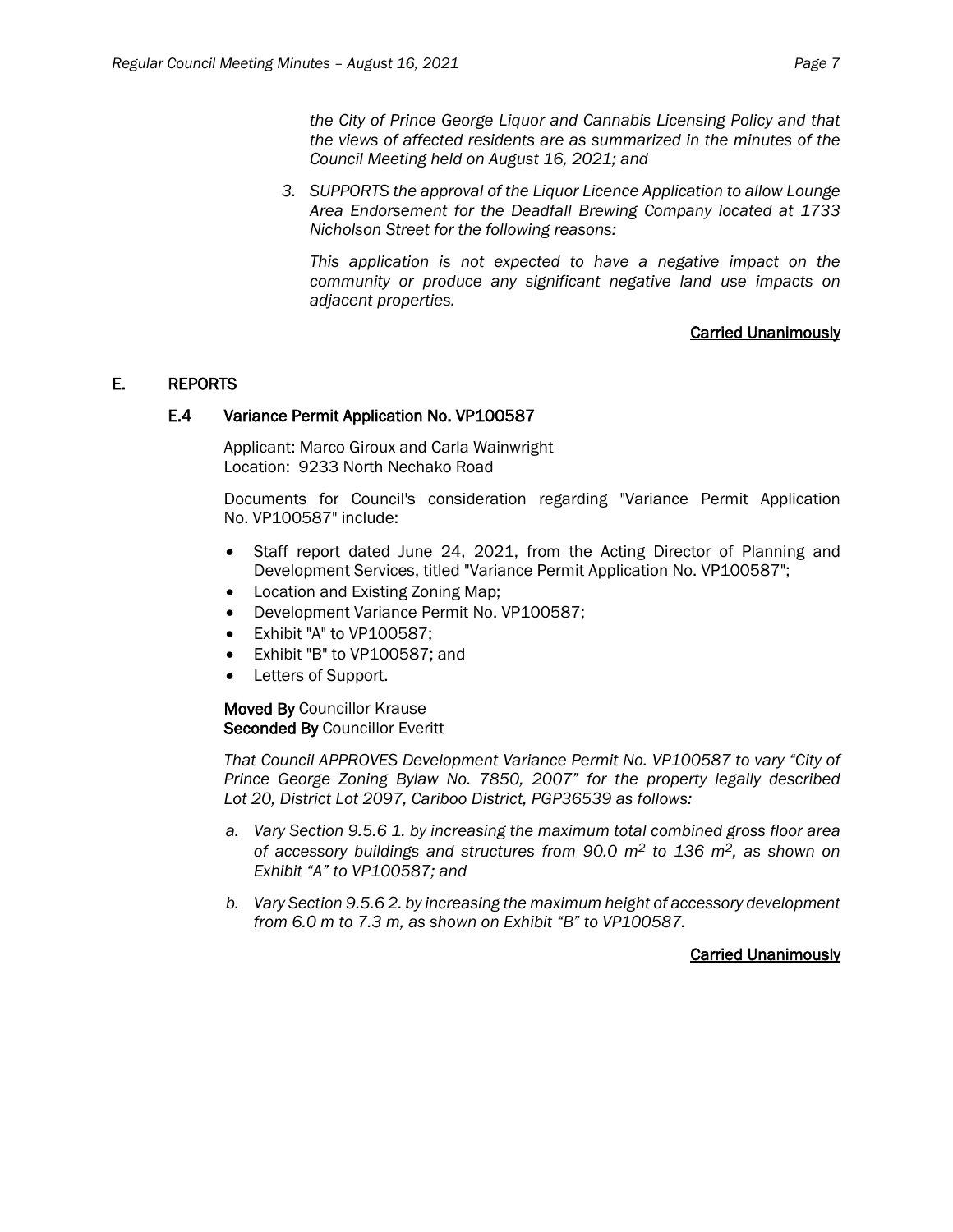*the City of Prince George Liquor and Cannabis Licensing Policy and that the views of affected residents are as summarized in the minutes of the Council Meeting held on August 16, 2021; and*

*3. SUPPORTS the approval of the Liquor Licence Application to allow Lounge Area Endorsement for the Deadfall Brewing Company located at 1733 Nicholson Street for the following reasons:*

*This application is not expected to have a negative impact on the community or produce any significant negative land use impacts on adjacent properties.*

# Carried Unanimously

# E. REPORTS

#### E.4 Variance Permit Application No. VP100587

Applicant: Marco Giroux and Carla Wainwright Location: 9233 North Nechako Road

Documents for Council's consideration regarding "Variance Permit Application No. VP100587" include:

- Staff report dated June 24, 2021, from the Acting Director of Planning and Development Services, titled "Variance Permit Application No. VP100587";
- Location and Existing Zoning Map;
- Development Variance Permit No. VP100587;
- Exhibit "A" to VP100587;
- Exhibit "B" to VP100587; and
- Letters of Support.

Moved By Councillor Krause Seconded By Councillor Everitt

*That Council APPROVES Development Variance Permit No. VP100587 to vary "City of Prince George Zoning Bylaw No. 7850, 2007" for the property legally described Lot 20, District Lot 2097, Cariboo District, PGP36539 as follows:*

- *a. Vary Section 9.5.6 1. by increasing the maximum total combined gross floor area of accessory buildings and structures from 90.0 m2 to 136 m2, as shown on Exhibit "A" to VP100587; and*
- *b. Vary Section 9.5.6 2. by increasing the maximum height of accessory development from 6.0 m to 7.3 m, as shown on Exhibit "B" to VP100587.*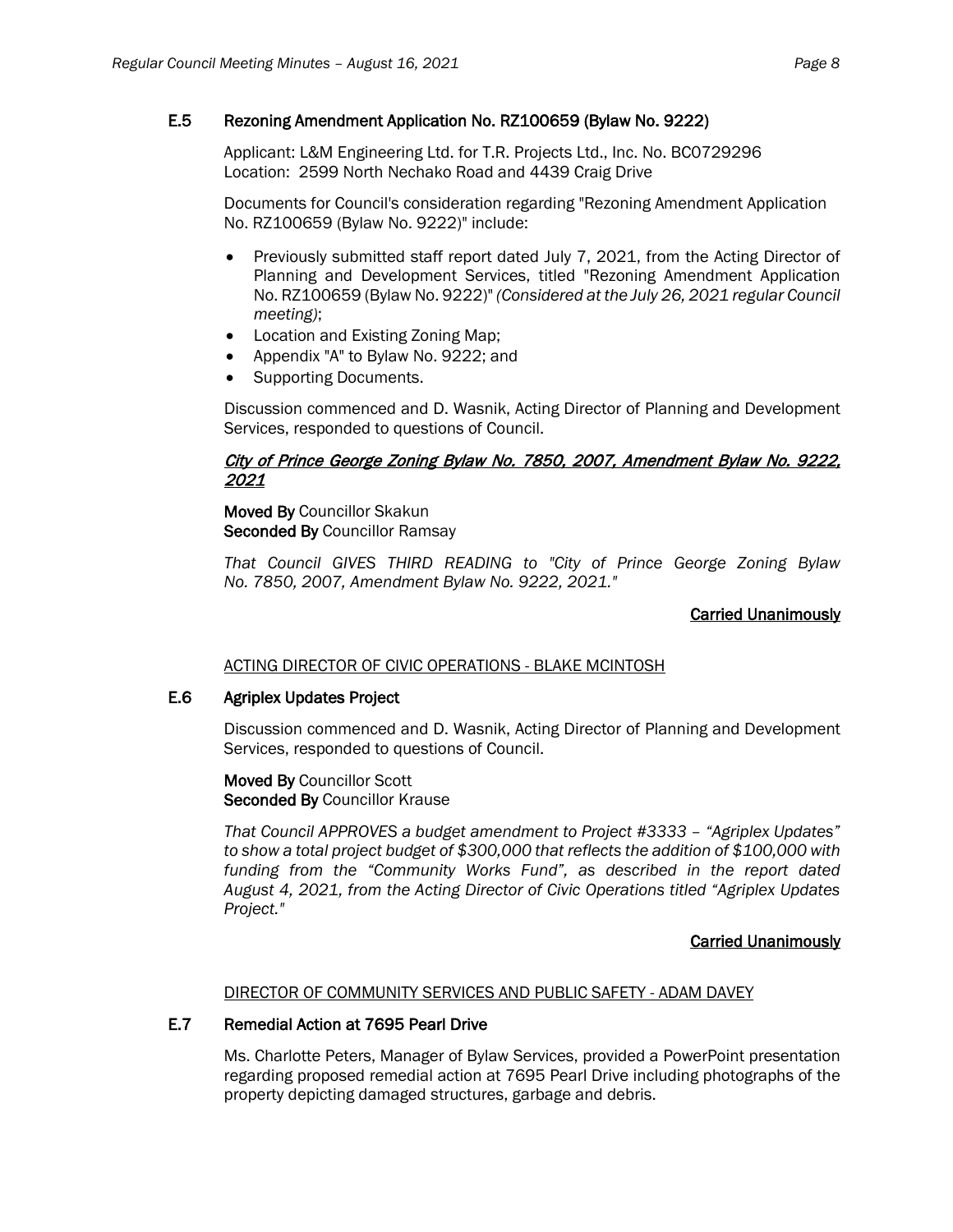# E.5 Rezoning Amendment Application No. RZ100659 (Bylaw No. 9222)

Applicant: L&M Engineering Ltd. for T.R. Projects Ltd., Inc. No. BC0729296 Location: 2599 North Nechako Road and 4439 Craig Drive

Documents for Council's consideration regarding "Rezoning Amendment Application No. RZ100659 (Bylaw No. 9222)" include:

- Previously submitted staff report dated July 7, 2021, from the Acting Director of Planning and Development Services, titled "Rezoning Amendment Application No. RZ100659 (Bylaw No. 9222)" *(Considered at the July 26, 2021 regular Council meeting)*;
- Location and Existing Zoning Map;
- Appendix "A" to Bylaw No. 9222; and
- Supporting Documents.

Discussion commenced and D. Wasnik, Acting Director of Planning and Development Services, responded to questions of Council.

# City of Prince George Zoning Bylaw No. 7850, 2007, Amendment Bylaw No. 9222, 2021

Moved By Councillor Skakun Seconded By Councillor Ramsay

*That Council GIVES THIRD READING to "City of Prince George Zoning Bylaw No. 7850, 2007, Amendment Bylaw No. 9222, 2021."*

# Carried Unanimously

ACTING DIRECTOR OF CIVIC OPERATIONS - BLAKE MCINTOSH

# E.6 Agriplex Updates Project

Discussion commenced and D. Wasnik, Acting Director of Planning and Development Services, responded to questions of Council.

Moved By Councillor Scott Seconded By Councillor Krause

*That Council APPROVES a budget amendment to Project #3333 – "Agriplex Updates" to show a total project budget of \$300,000 that reflects the addition of \$100,000 with funding from the "Community Works Fund", as described in the report dated August 4, 2021, from the Acting Director of Civic Operations titled "Agriplex Updates Project."*

# Carried Unanimously

#### DIRECTOR OF COMMUNITY SERVICES AND PUBLIC SAFETY - ADAM DAVEY

# E.7 Remedial Action at 7695 Pearl Drive

Ms. Charlotte Peters, Manager of Bylaw Services, provided a PowerPoint presentation regarding proposed remedial action at 7695 Pearl Drive including photographs of the property depicting damaged structures, garbage and debris.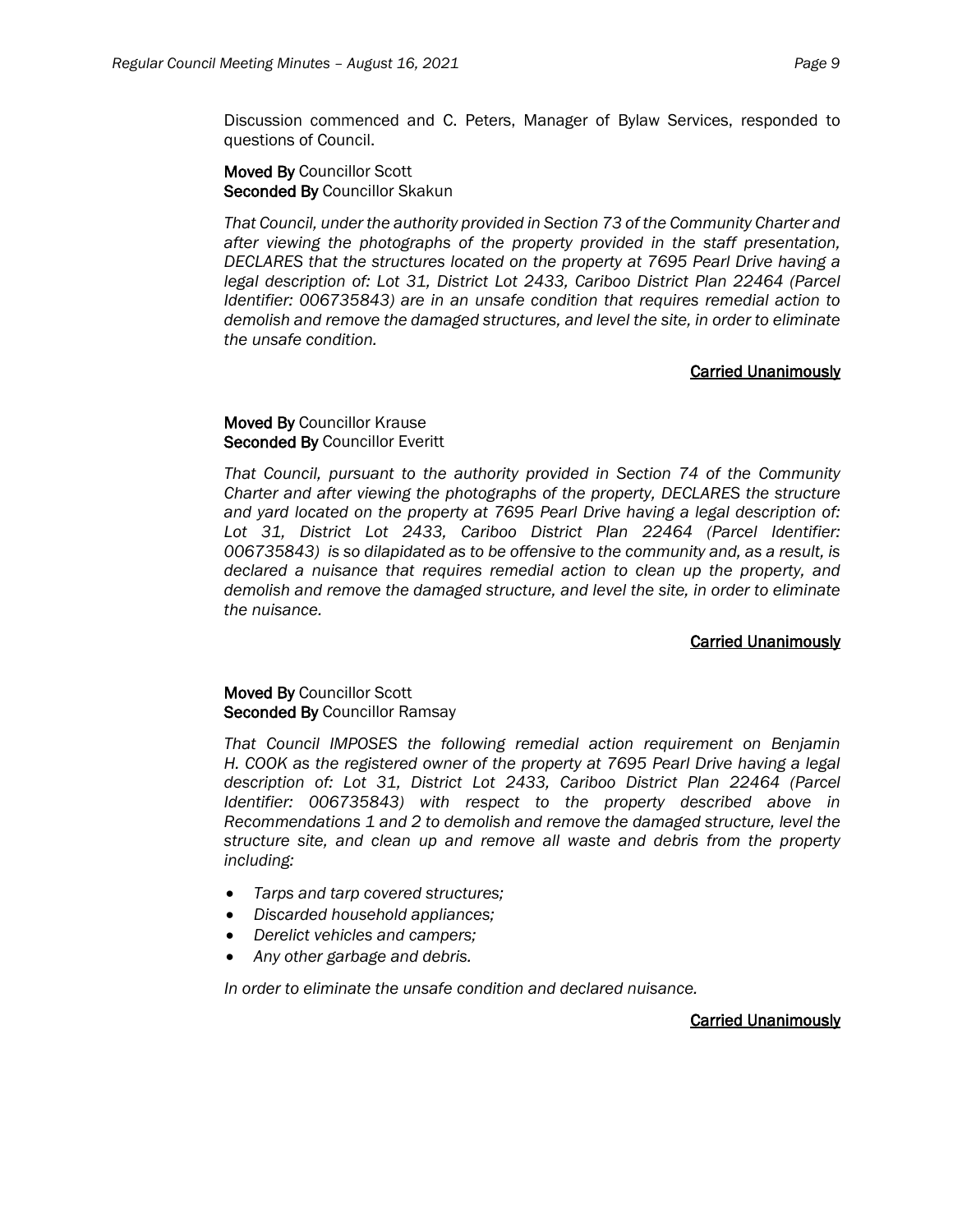Discussion commenced and C. Peters, Manager of Bylaw Services, responded to questions of Council.

Moved By Councillor Scott Seconded By Councillor Skakun

*That Council, under the authority provided in Section 73 of the Community Charter and after viewing the photographs of the property provided in the staff presentation, DECLARES that the structures located on the property at 7695 Pearl Drive having a*  legal description of: Lot 31, District Lot 2433, Cariboo District Plan 22464 (Parcel *Identifier: 006735843) are in an unsafe condition that requires remedial action to demolish and remove the damaged structures, and level the site, in order to eliminate the unsafe condition.*

#### Carried Unanimously

# Moved By Councillor Krause Seconded By Councillor Everitt

*That Council, pursuant to the authority provided in Section 74 of the Community Charter and after viewing the photographs of the property, DECLARES the structure and yard located on the property at 7695 Pearl Drive having a legal description of: Lot 31, District Lot 2433, Cariboo District Plan 22464 (Parcel Identifier: 006735843) is so dilapidated as to be offensive to the community and, as a result, is declared a nuisance that requires remedial action to clean up the property, and demolish and remove the damaged structure, and level the site, in order to eliminate the nuisance.*

# Carried Unanimously

#### Moved By Councillor Scott Seconded By Councillor Ramsay

*That Council IMPOSES the following remedial action requirement on Benjamin H. COOK as the registered owner of the property at 7695 Pearl Drive having a legal description of: Lot 31, District Lot 2433, Cariboo District Plan 22464 (Parcel Identifier: 006735843) with respect to the property described above in Recommendations 1 and 2 to demolish and remove the damaged structure, level the structure site, and clean up and remove all waste and debris from the property including:*

- *Tarps and tarp covered structures;*
- *Discarded household appliances;*
- *Derelict vehicles and campers;*
- *Any other garbage and debris.*

*In order to eliminate the unsafe condition and declared nuisance.*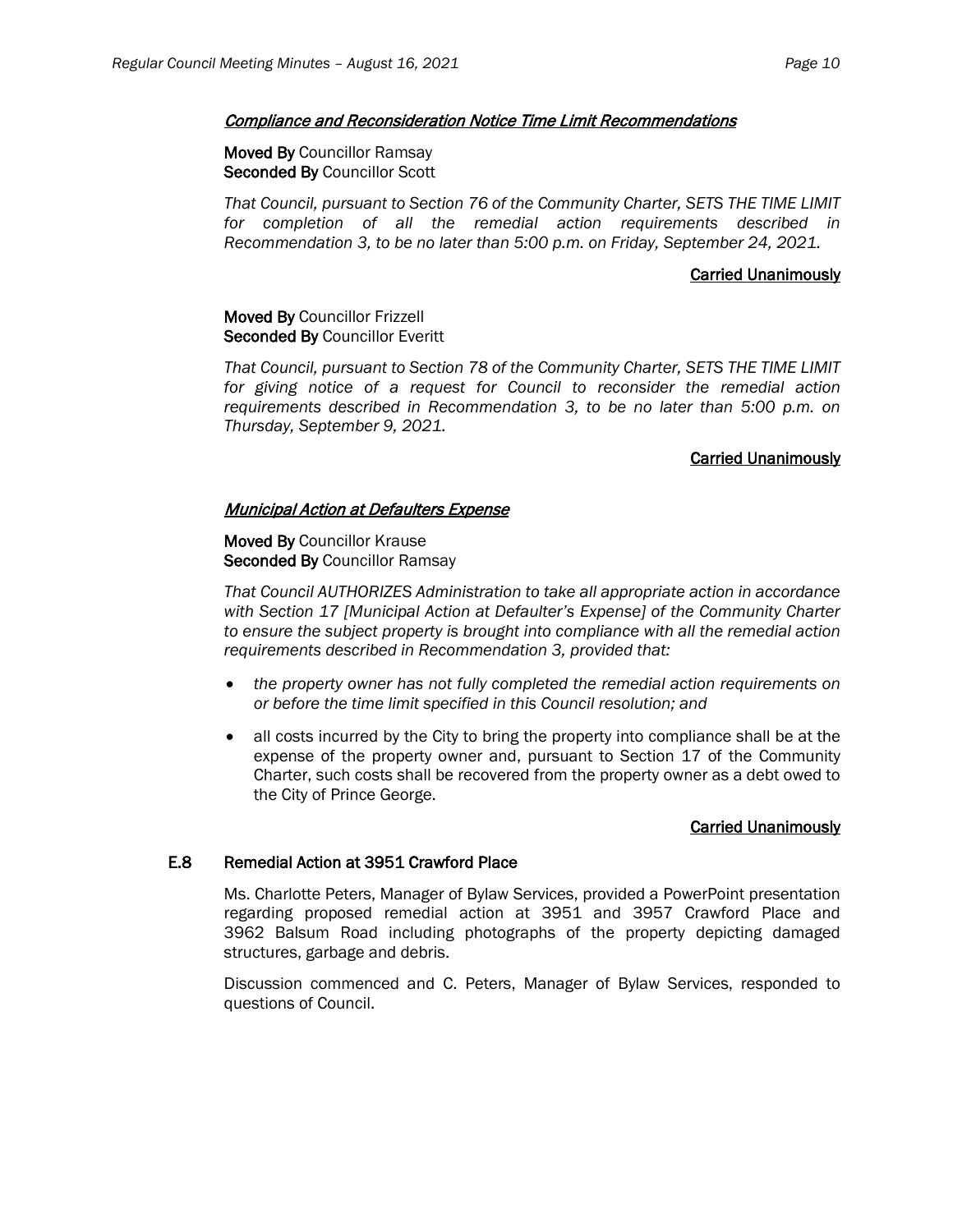#### Compliance and Reconsideration Notice Time Limit Recommendations

#### Moved By Councillor Ramsay Seconded By Councillor Scott

*That Council, pursuant to Section 76 of the Community Charter, SETS THE TIME LIMIT for completion of all the remedial action requirements described in Recommendation 3, to be no later than 5:00 p.m. on Friday, September 24, 2021.*

#### Carried Unanimously

# Moved By Councillor Frizzell Seconded By Councillor Everitt

*That Council, pursuant to Section 78 of the Community Charter, SETS THE TIME LIMIT for giving notice of a request for Council to reconsider the remedial action requirements described in Recommendation 3, to be no later than 5:00 p.m. on Thursday, September 9, 2021.*

# Carried Unanimously

# Municipal Action at Defaulters Expense

#### Moved By Councillor Krause Seconded By Councillor Ramsay

*That Council AUTHORIZES Administration to take all appropriate action in accordance with Section 17 [Municipal Action at Defaulter's Expense] of the Community Charter to ensure the subject property is brought into compliance with all the remedial action requirements described in Recommendation 3, provided that:* 

- *the property owner has not fully completed the remedial action requirements on or before the time limit specified in this Council resolution; and*
- all costs incurred by the City to bring the property into compliance shall be at the expense of the property owner and, pursuant to Section 17 of the Community Charter, such costs shall be recovered from the property owner as a debt owed to the City of Prince George.

#### Carried Unanimously

# E.8 Remedial Action at 3951 Crawford Place

Ms. Charlotte Peters, Manager of Bylaw Services, provided a PowerPoint presentation regarding proposed remedial action at 3951 and 3957 Crawford Place and 3962 Balsum Road including photographs of the property depicting damaged structures, garbage and debris.

Discussion commenced and C. Peters, Manager of Bylaw Services, responded to questions of Council.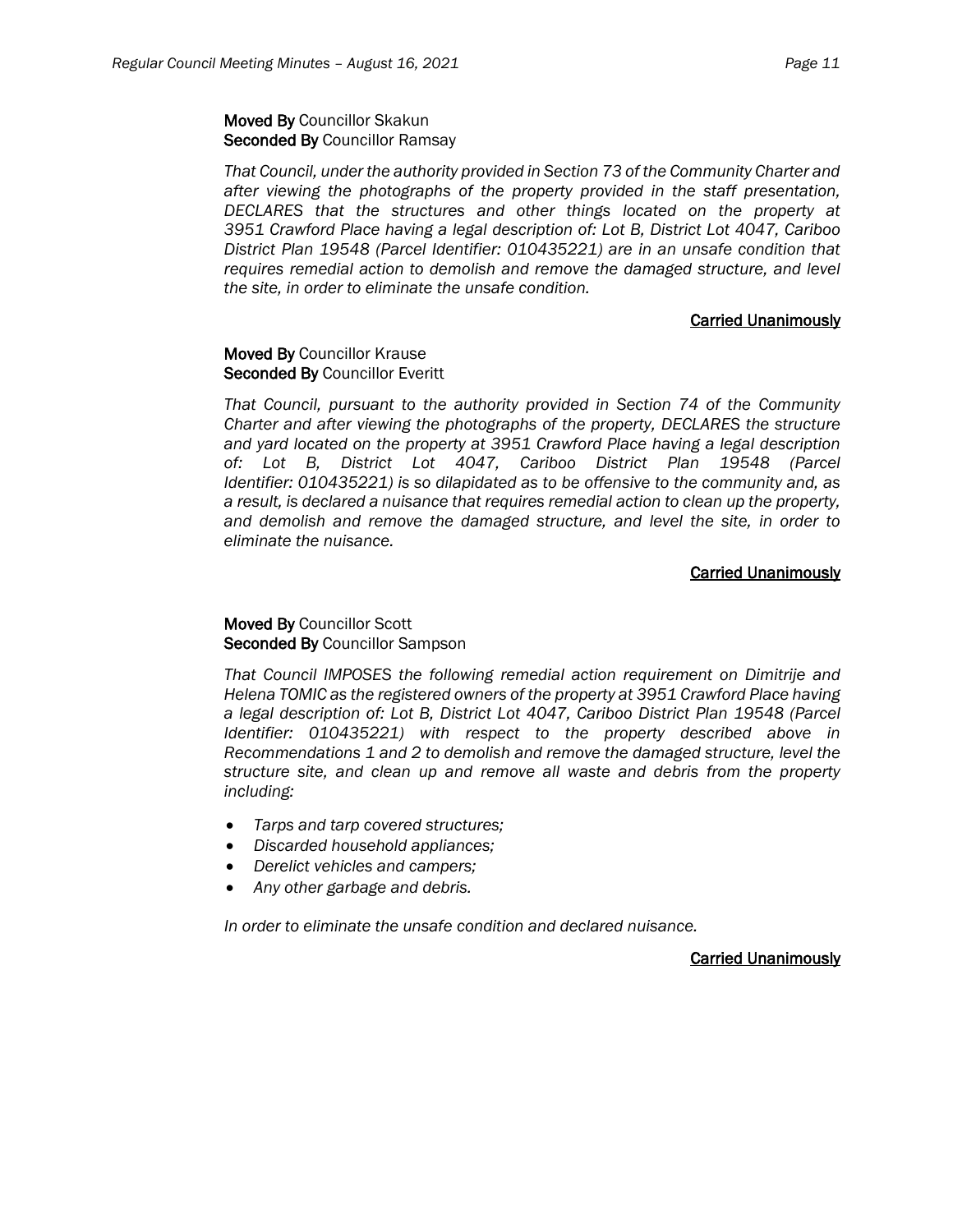# Moved By Councillor Skakun Seconded By Councillor Ramsay

*That Council, under the authority provided in Section 73 of the Community Charter and after viewing the photographs of the property provided in the staff presentation, DECLARES that the structures and other things located on the property at 3951 Crawford Place having a legal description of: Lot B, District Lot 4047, Cariboo District Plan 19548 (Parcel Identifier: 010435221) are in an unsafe condition that requires remedial action to demolish and remove the damaged structure, and level the site, in order to eliminate the unsafe condition.*

# Carried Unanimously

#### Moved By Councillor Krause Seconded By Councillor Everitt

*That Council, pursuant to the authority provided in Section 74 of the Community Charter and after viewing the photographs of the property, DECLARES the structure and yard located on the property at 3951 Crawford Place having a legal description of: Lot B, District Lot 4047, Cariboo District Plan 19548 (Parcel Identifier: 010435221) is so dilapidated as to be offensive to the community and, as a result, is declared a nuisance that requires remedial action to clean up the property, and demolish and remove the damaged structure, and level the site, in order to eliminate the nuisance.*

# Carried Unanimously

# Moved By Councillor Scott Seconded By Councillor Sampson

*That Council IMPOSES the following remedial action requirement on Dimitrije and Helena TOMIC as the registered owners of the property at 3951 Crawford Place having a legal description of: Lot B, District Lot 4047, Cariboo District Plan 19548 (Parcel Identifier: 010435221) with respect to the property described above in Recommendations 1 and 2 to demolish and remove the damaged structure, level the structure site, and clean up and remove all waste and debris from the property including:*

- *Tarps and tarp covered structures;*
- *Discarded household appliances;*
- *Derelict vehicles and campers;*
- *Any other garbage and debris.*

*In order to eliminate the unsafe condition and declared nuisance.*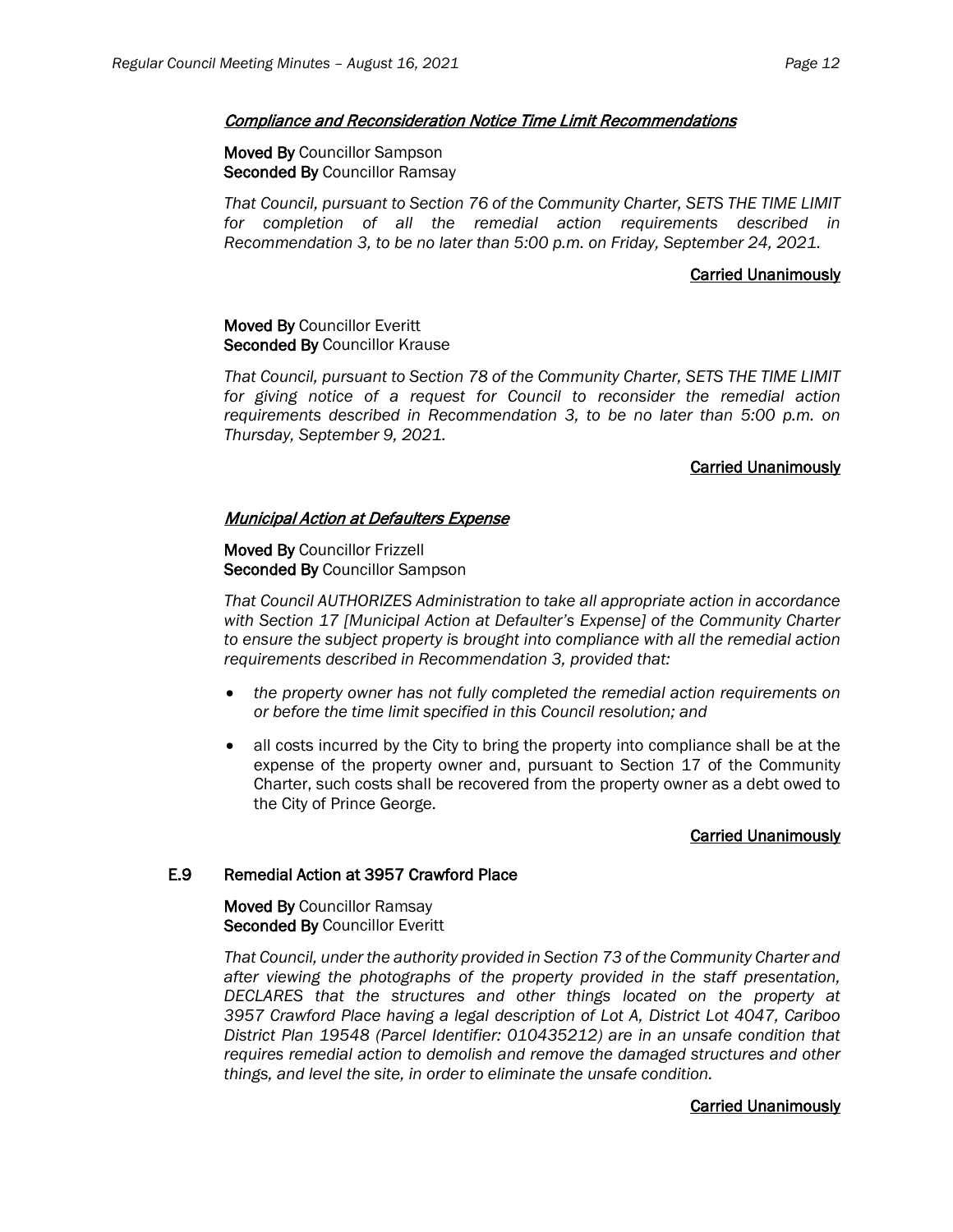#### Compliance and Reconsideration Notice Time Limit Recommendations

#### Moved By Councillor Sampson Seconded By Councillor Ramsay

*That Council, pursuant to Section 76 of the Community Charter, SETS THE TIME LIMIT for completion of all the remedial action requirements described in Recommendation 3, to be no later than 5:00 p.m. on Friday, September 24, 2021.*

#### Carried Unanimously

#### Moved By Councillor Everitt Seconded By Councillor Krause

*That Council, pursuant to Section 78 of the Community Charter, SETS THE TIME LIMIT for giving notice of a request for Council to reconsider the remedial action requirements described in Recommendation 3, to be no later than 5:00 p.m. on Thursday, September 9, 2021.*

#### Carried Unanimously

# Municipal Action at Defaulters Expense

Moved By Councillor Frizzell Seconded By Councillor Sampson

*That Council AUTHORIZES Administration to take all appropriate action in accordance with Section 17 [Municipal Action at Defaulter's Expense] of the Community Charter to ensure the subject property is brought into compliance with all the remedial action requirements described in Recommendation 3, provided that:* 

- *the property owner has not fully completed the remedial action requirements on or before the time limit specified in this Council resolution; and*
- all costs incurred by the City to bring the property into compliance shall be at the expense of the property owner and, pursuant to Section 17 of the Community Charter, such costs shall be recovered from the property owner as a debt owed to the City of Prince George.

# Carried Unanimously

#### E.9 Remedial Action at 3957 Crawford Place

Moved By Councillor Ramsay Seconded By Councillor Everitt

*That Council, under the authority provided in Section 73 of the Community Charter and after viewing the photographs of the property provided in the staff presentation, DECLARES that the structures and other things located on the property at 3957 Crawford Place having a legal description of Lot A, District Lot 4047, Cariboo District Plan 19548 (Parcel Identifier: 010435212) are in an unsafe condition that requires remedial action to demolish and remove the damaged structures and other things, and level the site, in order to eliminate the unsafe condition.*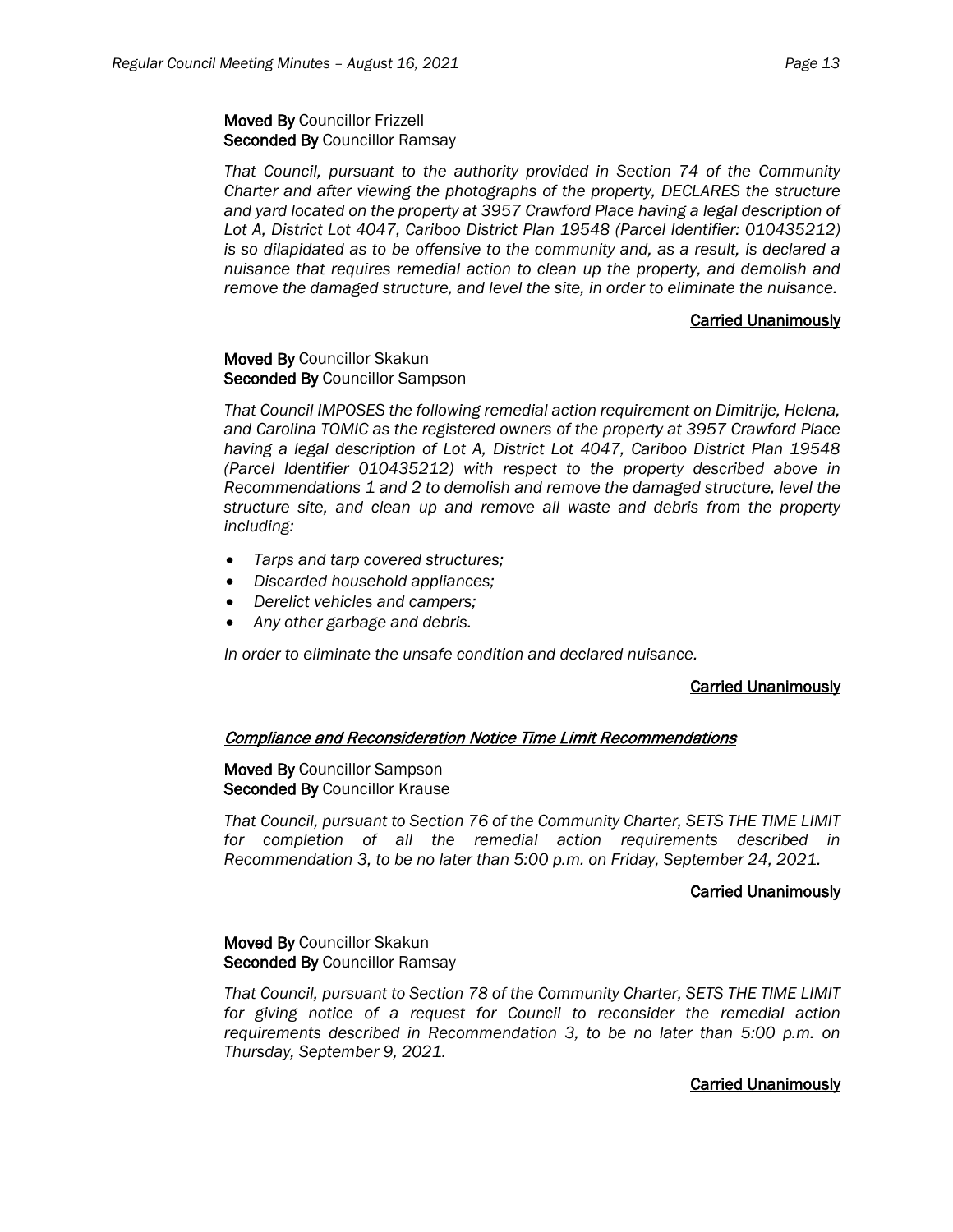# Moved By Councillor Frizzell Seconded By Councillor Ramsay

*That Council, pursuant to the authority provided in Section 74 of the Community Charter and after viewing the photographs of the property, DECLARES the structure and yard located on the property at 3957 Crawford Place having a legal description of Lot A, District Lot 4047, Cariboo District Plan 19548 (Parcel Identifier: 010435212) is so dilapidated as to be offensive to the community and, as a result, is declared a nuisance that requires remedial action to clean up the property, and demolish and remove the damaged structure, and level the site, in order to eliminate the nuisance.*

#### Carried Unanimously

#### Moved By Councillor Skakun Seconded By Councillor Sampson

*That Council IMPOSES the following remedial action requirement on Dimitrije, Helena, and Carolina TOMIC as the registered owners of the property at 3957 Crawford Place having a legal description of Lot A, District Lot 4047, Cariboo District Plan 19548 (Parcel Identifier 010435212) with respect to the property described above in Recommendations 1 and 2 to demolish and remove the damaged structure, level the structure site, and clean up and remove all waste and debris from the property including:*

- *Tarps and tarp covered structures;*
- *Discarded household appliances;*
- *Derelict vehicles and campers;*
- *Any other garbage and debris.*

*In order to eliminate the unsafe condition and declared nuisance.*

# Carried Unanimously

# Compliance and Reconsideration Notice Time Limit Recommendations

#### Moved By Councillor Sampson Seconded By Councillor Krause

*That Council, pursuant to Section 76 of the Community Charter, SETS THE TIME LIMIT for completion of all the remedial action requirements described in Recommendation 3, to be no later than 5:00 p.m. on Friday, September 24, 2021.*

# Carried Unanimously

# Moved By Councillor Skakun Seconded By Councillor Ramsay

*That Council, pursuant to Section 78 of the Community Charter, SETS THE TIME LIMIT for giving notice of a request for Council to reconsider the remedial action requirements described in Recommendation 3, to be no later than 5:00 p.m. on Thursday, September 9, 2021.*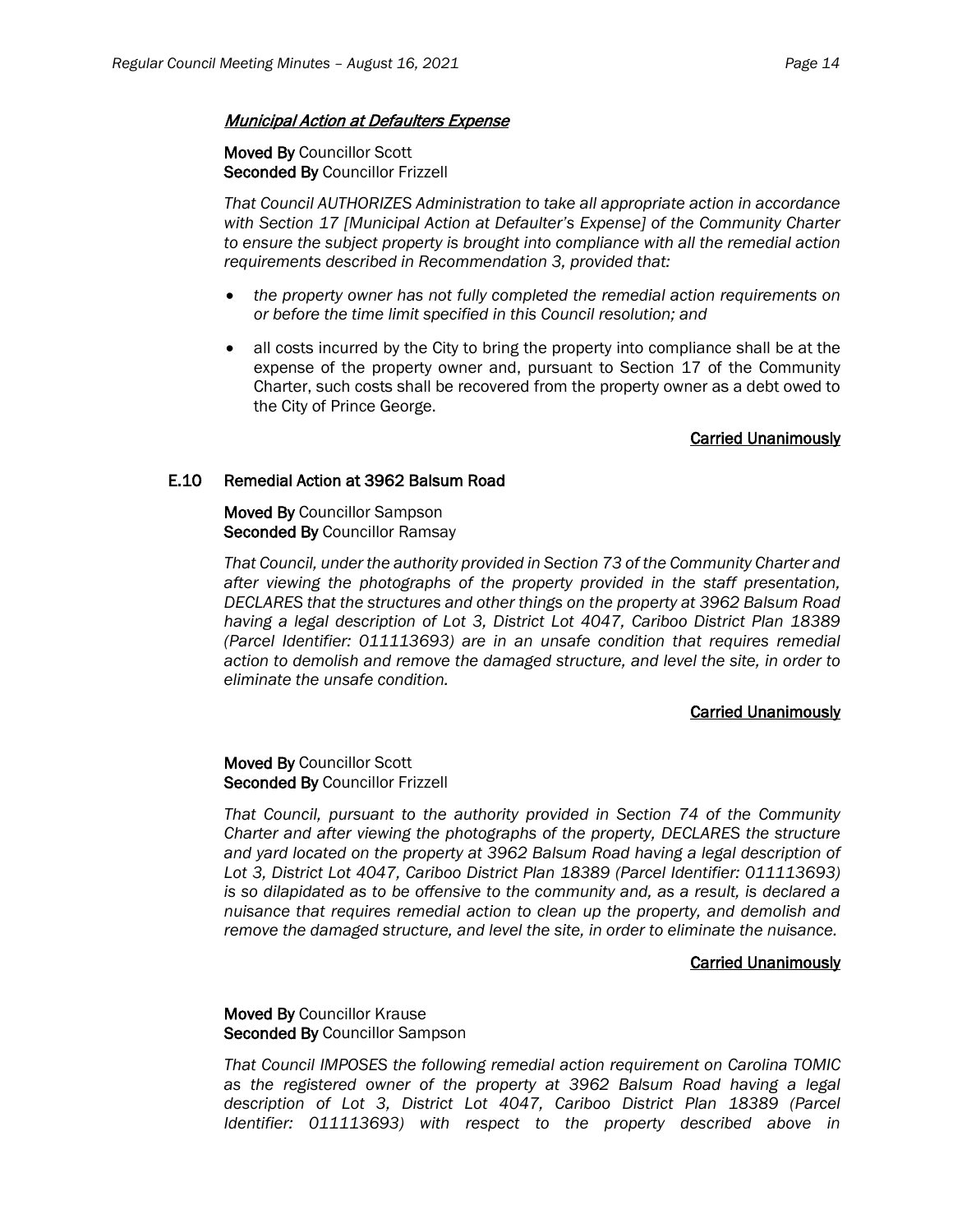#### **Municipal Action at Defaulters Expense**

#### Moved By Councillor Scott Seconded By Councillor Frizzell

*That Council AUTHORIZES Administration to take all appropriate action in accordance with Section 17 [Municipal Action at Defaulter's Expense] of the Community Charter to ensure the subject property is brought into compliance with all the remedial action requirements described in Recommendation 3, provided that:* 

- *the property owner has not fully completed the remedial action requirements on or before the time limit specified in this Council resolution; and*
- all costs incurred by the City to bring the property into compliance shall be at the expense of the property owner and, pursuant to Section 17 of the Community Charter, such costs shall be recovered from the property owner as a debt owed to the City of Prince George.

#### Carried Unanimously

#### E.10 Remedial Action at 3962 Balsum Road

Moved By Councillor Sampson Seconded By Councillor Ramsay

*That Council, under the authority provided in Section 73 of the Community Charter and after viewing the photographs of the property provided in the staff presentation, DECLARES that the structures and other things on the property at 3962 Balsum Road having a legal description of Lot 3, District Lot 4047, Cariboo District Plan 18389 (Parcel Identifier: 011113693) are in an unsafe condition that requires remedial action to demolish and remove the damaged structure, and level the site, in order to eliminate the unsafe condition.*

#### Carried Unanimously

#### Moved By Councillor Scott Seconded By Councillor Frizzell

*That Council, pursuant to the authority provided in Section 74 of the Community Charter and after viewing the photographs of the property, DECLARES the structure and yard located on the property at 3962 Balsum Road having a legal description of Lot 3, District Lot 4047, Cariboo District Plan 18389 (Parcel Identifier: 011113693) is so dilapidated as to be offensive to the community and, as a result, is declared a nuisance that requires remedial action to clean up the property, and demolish and remove the damaged structure, and level the site, in order to eliminate the nuisance.*

#### Carried Unanimously

#### Moved By Councillor Krause Seconded By Councillor Sampson

*That Council IMPOSES the following remedial action requirement on Carolina TOMIC as the registered owner of the property at 3962 Balsum Road having a legal description of Lot 3, District Lot 4047, Cariboo District Plan 18389 (Parcel Identifier: 011113693) with respect to the property described above in*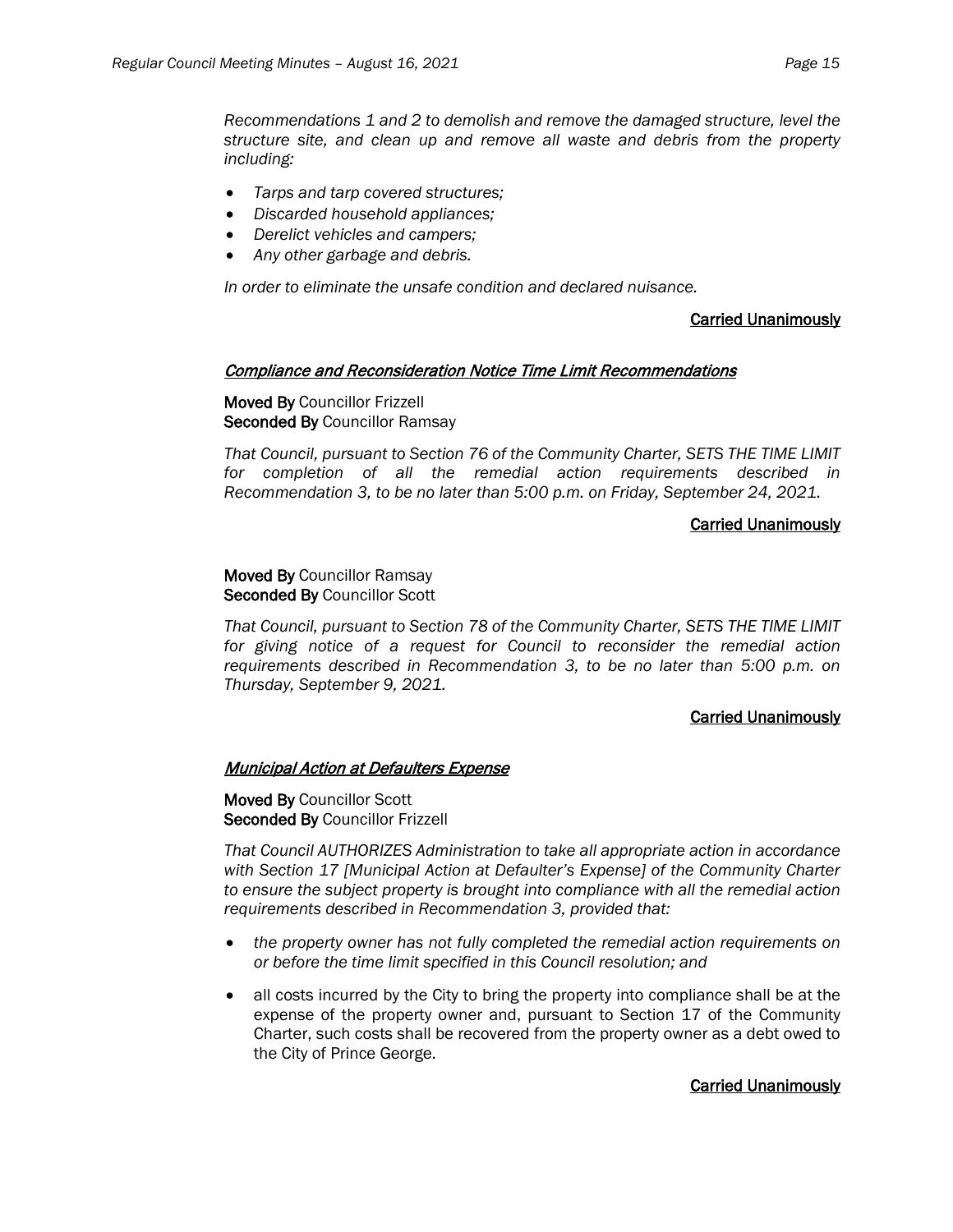*Recommendations 1 and 2 to demolish and remove the damaged structure, level the structure site, and clean up and remove all waste and debris from the property including:*

- *Tarps and tarp covered structures;*
- *Discarded household appliances;*
- *Derelict vehicles and campers;*
- *Any other garbage and debris.*

*In order to eliminate the unsafe condition and declared nuisance.*

# Carried Unanimously

#### Compliance and Reconsideration Notice Time Limit Recommendations

Moved By Councillor Frizzell Seconded By Councillor Ramsay

*That Council, pursuant to Section 76 of the Community Charter, SETS THE TIME LIMIT for completion of all the remedial action requirements described in Recommendation 3, to be no later than 5:00 p.m. on Friday, September 24, 2021.*

# Carried Unanimously

#### Moved By Councillor Ramsay Seconded By Councillor Scott

*That Council, pursuant to Section 78 of the Community Charter, SETS THE TIME LIMIT for giving notice of a request for Council to reconsider the remedial action requirements described in Recommendation 3, to be no later than 5:00 p.m. on Thursday, September 9, 2021.*

# Carried Unanimously

# Municipal Action at Defaulters Expense

Moved By Councillor Scott Seconded By Councillor Frizzell

*That Council AUTHORIZES Administration to take all appropriate action in accordance with Section 17 [Municipal Action at Defaulter's Expense] of the Community Charter to ensure the subject property is brought into compliance with all the remedial action requirements described in Recommendation 3, provided that:* 

- *the property owner has not fully completed the remedial action requirements on or before the time limit specified in this Council resolution; and*
- all costs incurred by the City to bring the property into compliance shall be at the expense of the property owner and, pursuant to Section 17 of the Community Charter, such costs shall be recovered from the property owner as a debt owed to the City of Prince George.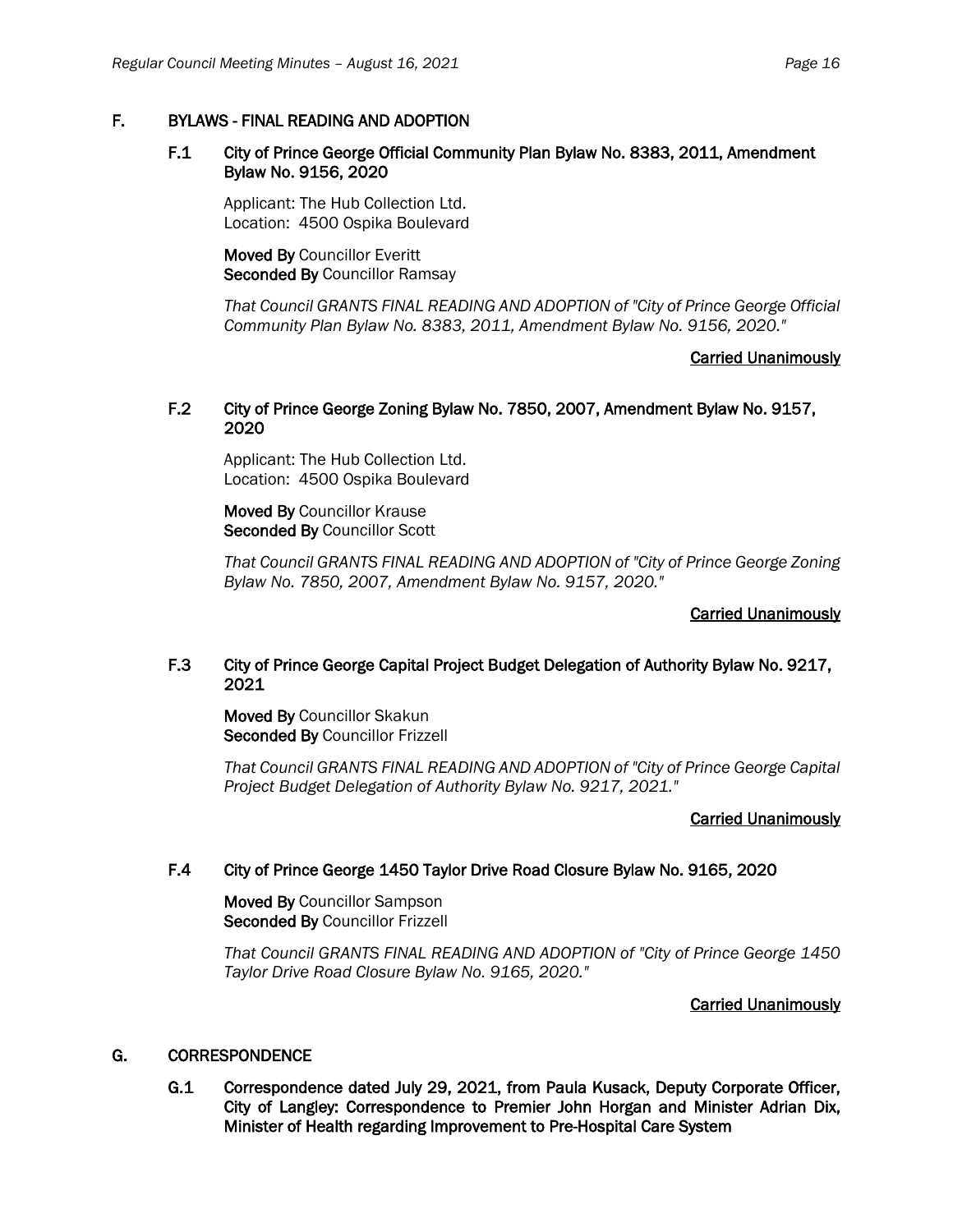# F. BYLAWS - FINAL READING AND ADOPTION

#### F.1 City of Prince George Official Community Plan Bylaw No. 8383, 2011, Amendment Bylaw No. 9156, 2020

Applicant: The Hub Collection Ltd. Location: 4500 Ospika Boulevard

Moved By Councillor Everitt Seconded By Councillor Ramsay

*That Council GRANTS FINAL READING AND ADOPTION of "City of Prince George Official Community Plan Bylaw No. 8383, 2011, Amendment Bylaw No. 9156, 2020."*

# Carried Unanimously

#### F.2 City of Prince George Zoning Bylaw No. 7850, 2007, Amendment Bylaw No. 9157, 2020

Applicant: The Hub Collection Ltd. Location: 4500 Ospika Boulevard

Moved By Councillor Krause Seconded By Councillor Scott

*That Council GRANTS FINAL READING AND ADOPTION of "City of Prince George Zoning Bylaw No. 7850, 2007, Amendment Bylaw No. 9157, 2020."*

#### Carried Unanimously

# F.3 City of Prince George Capital Project Budget Delegation of Authority Bylaw No. 9217, 2021

Moved By Councillor Skakun Seconded By Councillor Frizzell

*That Council GRANTS FINAL READING AND ADOPTION of "City of Prince George Capital Project Budget Delegation of Authority Bylaw No. 9217, 2021."*

#### Carried Unanimously

# F.4 City of Prince George 1450 Taylor Drive Road Closure Bylaw No. 9165, 2020

Moved By Councillor Sampson Seconded By Councillor Frizzell

*That Council GRANTS FINAL READING AND ADOPTION of "City of Prince George 1450 Taylor Drive Road Closure Bylaw No. 9165, 2020."*

#### Carried Unanimously

# G. CORRESPONDENCE

G.1 Correspondence dated July 29, 2021, from Paula Kusack, Deputy Corporate Officer, City of Langley: Correspondence to Premier John Horgan and Minister Adrian Dix, Minister of Health regarding Improvement to Pre-Hospital Care System